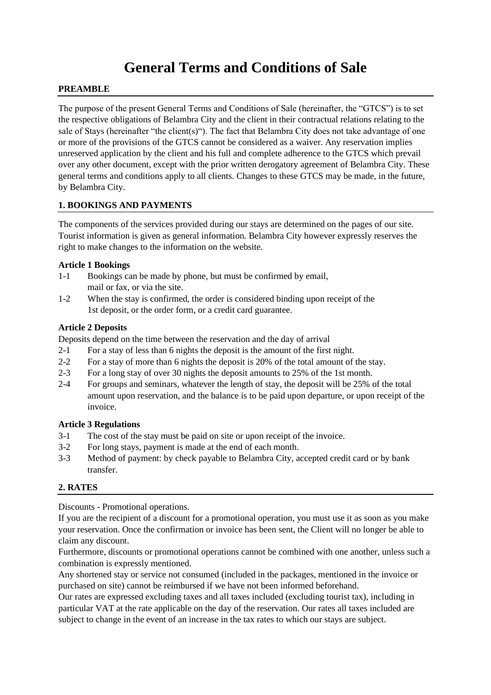# **General Terms and Conditions of Sale**

#### **PREAMBLE**

The purpose of the present General Terms and Conditions of Sale (hereinafter, the "GTCS") is to set the respective obligations of Belambra City and the client in their contractual relations relating to the sale of Stays (hereinafter "the client(s)"). The fact that Belambra City does not take advantage of one or more of the provisions of the GTCS cannot be considered as a waiver. Any reservation implies unreserved application by the client and his full and complete adherence to the GTCS which prevail over any other document, except with the prior written derogatory agreement of Belambra City. These general terms and conditions apply to all clients. Changes to these GTCS may be made, in the future, by Belambra City.

## **1. BOOKINGS AND PAYMENTS**

The components of the services provided during our stays are determined on the pages of our site. Tourist information is given as general information. Belambra City however expressly reserves the right to make changes to the information on the website.

#### **Article 1 Bookings**

- 1-1 Bookings can be made by phone, but must be confirmed by email, mail or fax, or via the site.
- 1-2 When the stay is confirmed, the order is considered binding upon receipt of the 1st deposit, or the order form, or a credit card guarantee.

#### **Article 2 Deposits**

Deposits depend on the time between the reservation and the day of arrival

- 2-1 For a stay of less than 6 nights the deposit is the amount of the first night.
- 2-2 For a stay of more than 6 nights the deposit is 20% of the total amount of the stay.
- 2-3 For a long stay of over 30 nights the deposit amounts to 25% of the 1st month.
- 2-4 For groups and seminars, whatever the length of stay, the deposit will be 25% of the total amount upon reservation, and the balance is to be paid upon departure, or upon receipt of the invoice.

#### **Article 3 Regulations**

- 3-1 The cost of the stay must be paid on site or upon receipt of the invoice.
- 3-2 For long stays, payment is made at the end of each month.
- 3-3 Method of payment: by check payable to Belambra City, accepted credit card or by bank transfer.

## **2. RATES**

Discounts - Promotional operations.

If you are the recipient of a discount for a promotional operation, you must use it as soon as you make your reservation. Once the confirmation or invoice has been sent, the Client will no longer be able to claim any discount.

Furthermore, discounts or promotional operations cannot be combined with one another, unless such a combination is expressly mentioned.

Any shortened stay or service not consumed (included in the packages, mentioned in the invoice or purchased on site) cannot be reimbursed if we have not been informed beforehand.

Our rates are expressed excluding taxes and all taxes included (excluding tourist tax), including in particular VAT at the rate applicable on the day of the reservation. Our rates all taxes included are subject to change in the event of an increase in the tax rates to which our stays are subject.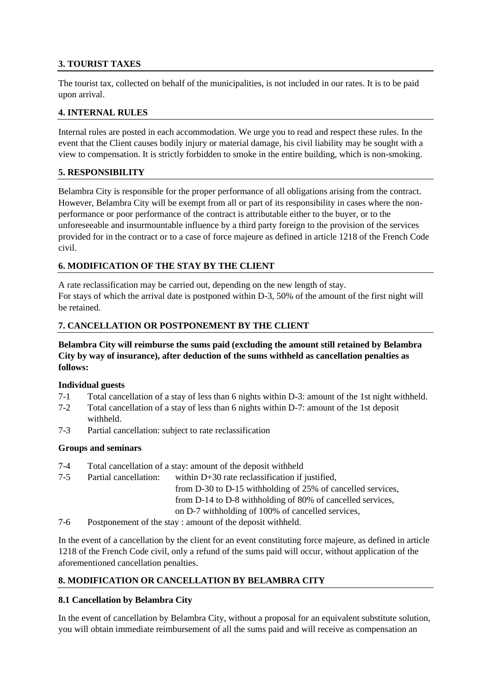# **3. TOURIST TAXES**

The tourist tax, collected on behalf of the municipalities, is not included in our rates. It is to be paid upon arrival.

#### **4. INTERNAL RULES**

Internal rules are posted in each accommodation. We urge you to read and respect these rules. In the event that the Client causes bodily injury or material damage, his civil liability may be sought with a view to compensation. It is strictly forbidden to smoke in the entire building, which is non-smoking.

#### **5. RESPONSIBILITY**

Belambra City is responsible for the proper performance of all obligations arising from the contract. However, Belambra City will be exempt from all or part of its responsibility in cases where the nonperformance or poor performance of the contract is attributable either to the buyer, or to the unforeseeable and insurmountable influence by a third party foreign to the provision of the services provided for in the contract or to a case of force majeure as defined in article 1218 of the French Code civil.

## **6. MODIFICATION OF THE STAY BY THE CLIENT**

A rate reclassification may be carried out, depending on the new length of stay. For stays of which the arrival date is postponed within D-3, 50% of the amount of the first night will be retained.

## **7. CANCELLATION OR POSTPONEMENT BY THE CLIENT**

## **Belambra City will reimburse the sums paid (excluding the amount still retained by Belambra City by way of insurance), after deduction of the sums withheld as cancellation penalties as follows:**

#### **Individual guests**

- 7-1 Total cancellation of a stay of less than 6 nights within D-3: amount of the 1st night withheld.
- 7-2 Total cancellation of a stay of less than 6 nights within D-7: amount of the 1st deposit withheld.
- 7-3 Partial cancellation: subject to rate reclassification

#### **Groups and seminars**

- 7-4 Total cancellation of a stay: amount of the deposit withheld
- 7-5 Partial cancellation: within D+30 rate reclassification if justified, from D-30 to D-15 withholding of 25% of cancelled services, from D-14 to D-8 withholding of 80% of cancelled services, on D-7 withholding of 100% of cancelled services,
- 7-6 Postponement of the stay : amount of the deposit withheld.

In the event of a cancellation by the client for an event constituting force majeure, as defined in article 1218 of the French Code civil, only a refund of the sums paid will occur, without application of the aforementioned cancellation penalties.

## **8. MODIFICATION OR CANCELLATION BY BELAMBRA CITY**

## **8.1 Cancellation by Belambra City**

In the event of cancellation by Belambra City, without a proposal for an equivalent substitute solution, you will obtain immediate reimbursement of all the sums paid and will receive as compensation an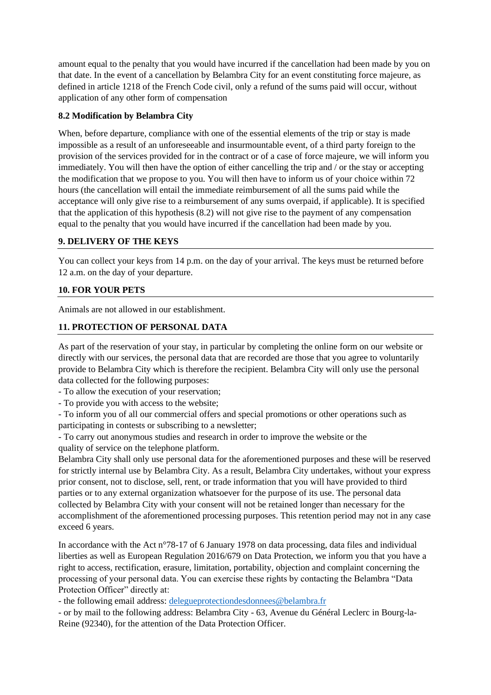amount equal to the penalty that you would have incurred if the cancellation had been made by you on that date. In the event of a cancellation by Belambra City for an event constituting force majeure, as defined in article 1218 of the French Code civil, only a refund of the sums paid will occur, without application of any other form of compensation

## **8.2 Modification by Belambra City**

When, before departure, compliance with one of the essential elements of the trip or stay is made impossible as a result of an unforeseeable and insurmountable event, of a third party foreign to the provision of the services provided for in the contract or of a case of force majeure, we will inform you immediately. You will then have the option of either cancelling the trip and / or the stay or accepting the modification that we propose to you. You will then have to inform us of your choice within 72 hours (the cancellation will entail the immediate reimbursement of all the sums paid while the acceptance will only give rise to a reimbursement of any sums overpaid, if applicable). It is specified that the application of this hypothesis (8.2) will not give rise to the payment of any compensation equal to the penalty that you would have incurred if the cancellation had been made by you.

# **9. DELIVERY OF THE KEYS**

You can collect your keys from 14 p.m. on the day of your arrival. The keys must be returned before 12 a.m. on the day of your departure.

# **10. FOR YOUR PETS**

Animals are not allowed in our establishment.

## **11. PROTECTION OF PERSONAL DATA**

As part of the reservation of your stay, in particular by completing the online form on our website or directly with our services, the personal data that are recorded are those that you agree to voluntarily provide to Belambra City which is therefore the recipient. Belambra City will only use the personal data collected for the following purposes:

- To allow the execution of your reservation;

- To provide you with access to the website;

- To inform you of all our commercial offers and special promotions or other operations such as participating in contests or subscribing to a newsletter;

- To carry out anonymous studies and research in order to improve the website or the quality of service on the telephone platform.

Belambra City shall only use personal data for the aforementioned purposes and these will be reserved for strictly internal use by Belambra City. As a result, Belambra City undertakes, without your express prior consent, not to disclose, sell, rent, or trade information that you will have provided to third parties or to any external organization whatsoever for the purpose of its use. The personal data collected by Belambra City with your consent will not be retained longer than necessary for the accomplishment of the aforementioned processing purposes. This retention period may not in any case exceed 6 years.

In accordance with the Act n°78-17 of 6 January 1978 on data processing, data files and individual liberties as well as European Regulation 2016/679 on Data Protection, we inform you that you have a right to access, rectification, erasure, limitation, portability, objection and complaint concerning the processing of your personal data. You can exercise these rights by contacting the Belambra "Data Protection Officer" directly at:

- the following email address: [delegueprotectiondesdonnees@belambra.fr](mailto:delegueprotectiondesdonnees@belambra.fr)

- or by mail to the following address: Belambra City - 63, Avenue du Général Leclerc in Bourg-la-Reine (92340), for the attention of the Data Protection Officer.